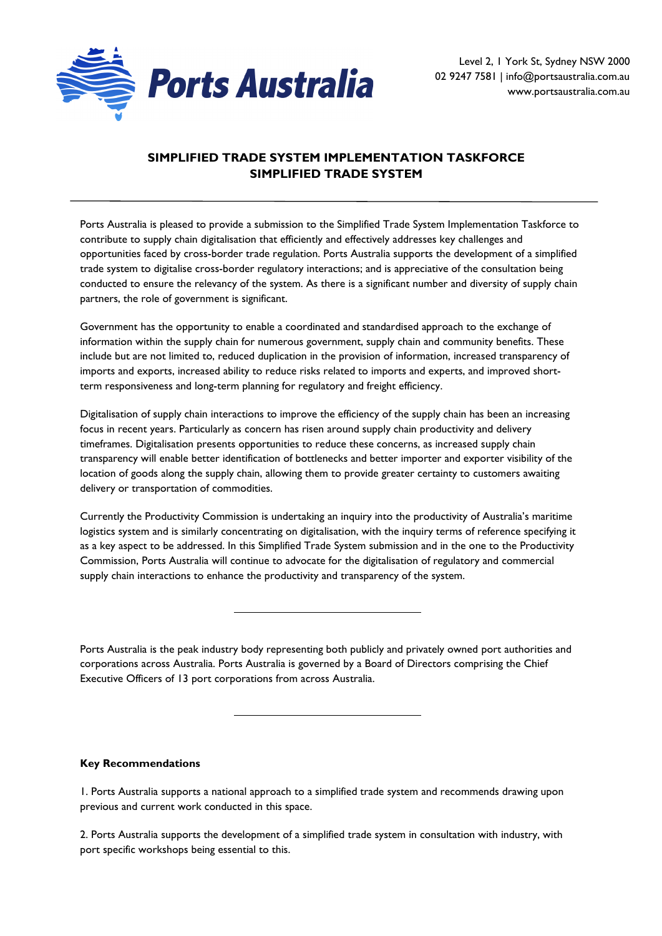

Level 2, 1 York St, Sydney NSW 2000 02 9247 7581 | info@portsaustralia.com.au www.portsaustralia.com.au

# **SIMPLIFIED TRADE SYSTEM IMPLEMENTATION TASKFORCE SIMPLIFIED TRADE SYSTEM**

Ports Australia is pleased to provide a submission to the Simplified Trade System Implementation Taskforce to contribute to supply chain digitalisation that efficiently and effectively addresses key challenges and opportunities faced by cross-border trade regulation. Ports Australia supports the development of a simplified trade system to digitalise cross-border regulatory interactions; and is appreciative of the consultation being conducted to ensure the relevancy of the system. As there is a significant number and diversity of supply chain partners, the role of government is significant.

Government has the opportunity to enable a coordinated and standardised approach to the exchange of information within the supply chain for numerous government, supply chain and community benefits. These include but are not limited to, reduced duplication in the provision of information, increased transparency of imports and exports, increased ability to reduce risks related to imports and experts, and improved shortterm responsiveness and long-term planning for regulatory and freight efficiency.

Digitalisation of supply chain interactions to improve the efficiency of the supply chain has been an increasing focus in recent years. Particularly as concern has risen around supply chain productivity and delivery timeframes. Digitalisation presents opportunities to reduce these concerns, as increased supply chain transparency will enable better identification of bottlenecks and better importer and exporter visibility of the location of goods along the supply chain, allowing them to provide greater certainty to customers awaiting delivery or transportation of commodities.

Currently the Productivity Commission is undertaking an inquiry into the productivity of Australia's maritime logistics system and is similarly concentrating on digitalisation, with the inquiry terms of reference specifying it as a key aspect to be addressed. In this Simplified Trade System submission and in the one to the Productivity Commission, Ports Australia will continue to advocate for the digitalisation of regulatory and commercial supply chain interactions to enhance the productivity and transparency of the system.

Ports Australia is the peak industry body representing both publicly and privately owned port authorities and corporations across Australia. Ports Australia is governed by a Board of Directors comprising the Chief Executive Officers of 13 port corporations from across Australia.

### **Key Recommendations**

1. Ports Australia supports a national approach to a simplified trade system and recommends drawing upon previous and current work conducted in this space.

2. Ports Australia supports the development of a simplified trade system in consultation with industry, with port specific workshops being essential to this.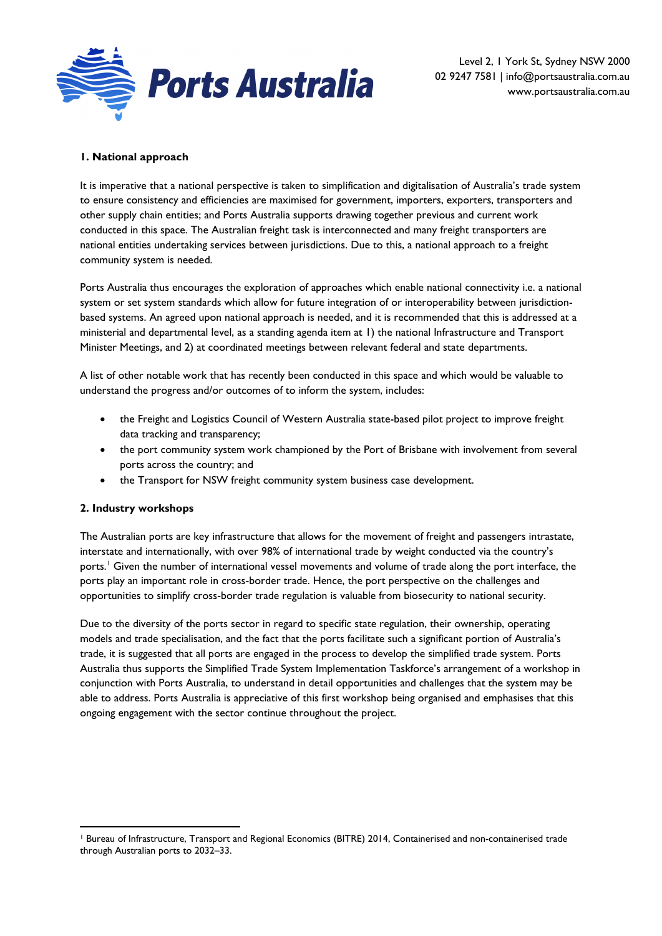

Level 2, 1 York St, Sydney NSW 2000 02 9247 7581 | info@portsaustralia.com.au www.portsaustralia.com.au

# **1. National approach**

It is imperative that a national perspective is taken to simplification and digitalisation of Australia's trade system to ensure consistency and efficiencies are maximised for government, importers, exporters, transporters and other supply chain entities; and Ports Australia supports drawing together previous and current work conducted in this space. The Australian freight task is interconnected and many freight transporters are national entities undertaking services between jurisdictions. Due to this, a national approach to a freight community system is needed.

Ports Australia thus encourages the exploration of approaches which enable national connectivity i.e. a national system or set system standards which allow for future integration of or interoperability between jurisdictionbased systems. An agreed upon national approach is needed, and it is recommended that this is addressed at a ministerial and departmental level, as a standing agenda item at 1) the national Infrastructure and Transport Minister Meetings, and 2) at coordinated meetings between relevant federal and state departments.

A list of other notable work that has recently been conducted in this space and which would be valuable to understand the progress and/or outcomes of to inform the system, includes:

- the Freight and Logistics Council of Western Australia state-based pilot project to improve freight data tracking and transparency;
- the port community system work championed by the Port of Brisbane with involvement from several ports across the country; and
- the Transport for NSW freight community system business case development.

### **2. Industry workshops**

The Australian ports are key infrastructure that allows for the movement of freight and passengers intrastate, interstate and internationally, with over 98% of international trade by weight conducted via the country's ports.<sup>[1](#page-1-0)</sup> Given the number of international vessel movements and volume of trade along the port interface, the ports play an important role in cross-border trade. Hence, the port perspective on the challenges and opportunities to simplify cross-border trade regulation is valuable from biosecurity to national security.

Due to the diversity of the ports sector in regard to specific state regulation, their ownership, operating models and trade specialisation, and the fact that the ports facilitate such a significant portion of Australia's trade, it is suggested that all ports are engaged in the process to develop the simplified trade system. Ports Australia thus supports the Simplified Trade System Implementation Taskforce's arrangement of a workshop in conjunction with Ports Australia, to understand in detail opportunities and challenges that the system may be able to address. Ports Australia is appreciative of this first workshop being organised and emphasises that this ongoing engagement with the sector continue throughout the project.

<span id="page-1-0"></span><sup>1</sup> Bureau of Infrastructure, Transport and Regional Economics (BITRE) 2014, Containerised and non-containerised trade through Australian ports to 2032–33.